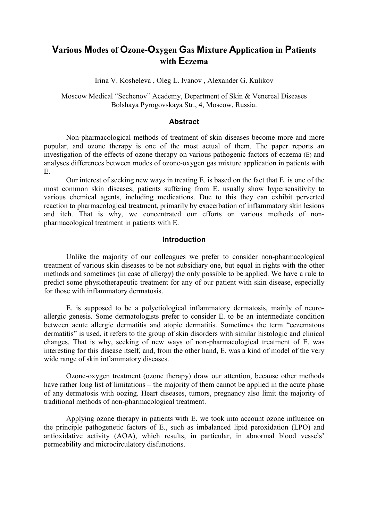# **Various Modes of Ozone-Oxygen Gas Mixture Application in Patients with Eczema**

Irina V. Kosheleva , Oleg L. Ivanov , Alexander G. Kulikov

Moscow Medical "Sechenov" Academy, Department of Skin & Venereal Diseases Bolshaya Pyrogovskaya Str., 4, Moscow, Russia.

#### **Abstract**

Non-pharmacological methods of treatment of skin diseases become more and more popular, and ozone therapy is one of the most actual of them. The paper reports an investigation of the effects of ozone therapy on various pathogenic factors of eczema (E) and analyses differences between modes of ozone-oxygen gas mixture application in patients with E.

Our interest of seeking new ways in treating E. is based on the fact that E. is one of the most сommon skin diseases; patients suffering from E. usually show hypersensitivity to various chemical agents, including medications. Due to this they can exhibit perverted reaction to pharmacological treatment, primarily by exacerbation of inflammatory skin lesions and itch. That is why, we concentrated our efforts on various methods of nonpharmacological treatment in patients with E.

#### **Introduction**

Unlike the majority of our colleagues we prefer to consider non-pharmacological treatment of various skin diseases to be not subsidiary one, but equal in rights with the other methods and sometimes (in case of allergy) the only possible to be applied. We have a rule to predict some physiotherapeutic treatment for any of our patient with skin disease, especially for those with inflammatory dermatosis.

E. is supposed to be a polyetiological inflammatory dermatosis, mainly of neuroallergic genesis. Some dermatologists prefer to consider E. to be an intermediate condition between acute allergic dermatitis and atopic dermatitis. Sometimes the term "eczematous dermatitis" is used, it refers to the group of skin disorders with similar histologic and clinical changes. That is why, seeking of new ways of non-pharmacological treatment of E. was interesting for this disease itself, and, from the other hand, E. was a kind of model of the very wide range of skin inflammatory diseases.

Ozone-oxygen treatment (ozone therapy) draw our attention, because other methods have rather long list of limitations – the majority of them cannot be applied in the acute phase of any dermatosis with oozing. Heart diseases, tumors, pregnancy also limit the majority of traditional methods of non-pharmacological treatment.

Applying ozone therapy in patients with E. we took into account ozone influence on the principle pathogenetic factors of E., such as imbalanced lipid peroxidation (LPO) and antioxidative activity (AOA), which results, in particular, in abnormal blood vessels' permeability and microcirculatory disfunctions.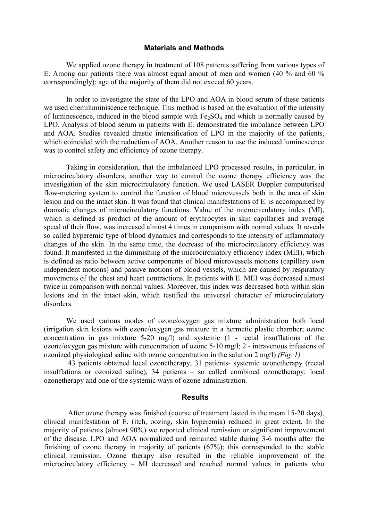#### **Materials and Methods**

We applied ozone therapy in treatment of 108 patients suffering from various types of E. Among our patients there was almost equal amout of men and women (40 % and 60 % correspondingly); age of the majority of them did not exceed 60 years.

In order to investigate the state of the LPO and AOA in blood serum of these patients we used chemiluminiscence technique. This method is based on the evaluation of the intensity of luminescence, induced in the blood sample with  $Fe<sub>2</sub>SO<sub>4</sub>$  and which is normally caused by LPO. Analysis of blood serum in patients with E. demonstrated the imbalance between LPO and AOA. Studies revealed drastic intensification of LPO in the majority of the patients, which coincided with the reduction of AOA. Another reason to use the induced luminescence was to control safety and efficiency of ozone therapy.

 Taking in consideration, that the imbalanced LPO processed results, in particular, in microcirculatory disorders, another way to control the ozone therapy efficiency was the investigation of the skin microcirculatory function. We used LASER Doppler computerised flow-metering system to control the function of blood microvessels both in the area of skin lesion and on the intact skin. It was found that clinical manifestations of E. is accompanied by dramatic changes of microcirculatory functions. Value of the microcirculatory index (MI), which is defined as product of the amount of erythrocytes in skin capillaries and average speed of their flow, was increased almost 4 times in comparison with normal values. It reveals so called hyperemic type of blood dynamics and corresponds to the intensity of inflammatory changes of the skin. In the same time, the decrease of the microcirculatory efficiency was found. It manifested in the diminishing of the microcirculatory efficiency index (MEI), which is defined as ratio between active components of blood microvessels motions (capillary own independent motions) and passive motions of blood vessels, which are caused by respiratory movements of the chest and heart contractions. In patients with E. MEI was decreased almost twice in comparison with normal values. Moreover, this index was decreased both within skin lesions and in the intact skin, which testified the universal character of microcirculatory disorders.

We used various modes of ozone/oxygen gas mixture administration both local (irrigation skin lesions with ozone/oxygen gas mixture in a hermetic plastic chamber; ozone concentration in gas mixture 5-20 mg/l) and systemic (1 - rectal insufflations of the ozone/oxygen gas mixture with concentration of ozone 5-10 mg/l; 2 - intravenous infusions of ozonized physiological saline with ozone concentration in the salution 2 mg/l) *(Fig. 1).*

 43 patients obtained local ozonetherapy, 31 patients- systemic ozonetherapy (rectal insufflations or ozonized saline), 34 patients – so called combined ozonetherapy: local ozonetherapy and one of the systemic ways of ozone administration.

#### **Results**

 After ozone therapy was finished (course of treatment lasted in the mean 15-20 days), clinical manifestation of E. (itch, oozing, skin hyperemia) reduced in great extent. In the majority of patients (almost 90%) we reported clinical remission or significant improvement of the disease. LPO and AOA normalized and remained stable during 3-6 months after the finishing of ozone therapy in majority of patients (67%); this corresponded to the stable clinical remission. Ozone therapy also resulted in the reliable improvement of the microcirculatory efficiency – MI decreased and reached normal values in patients who